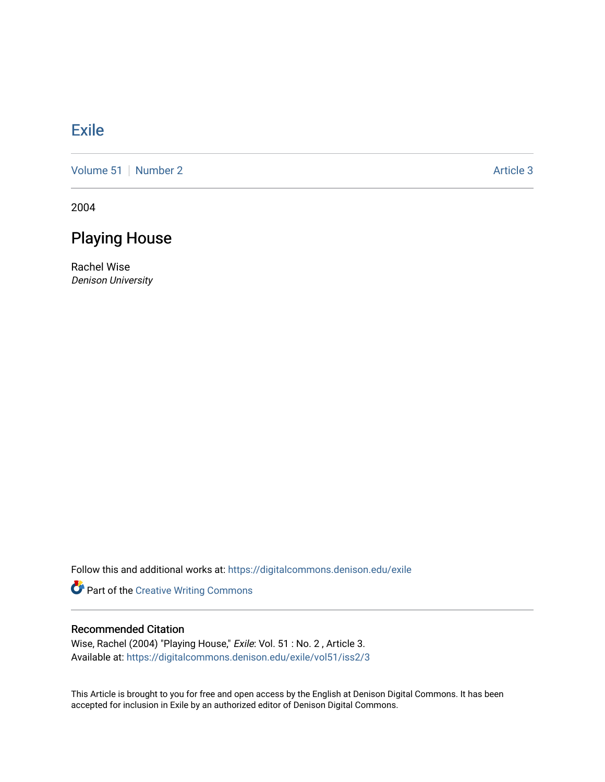## **[Exile](https://digitalcommons.denison.edu/exile)**

[Volume 51](https://digitalcommons.denison.edu/exile/vol51) [Number 2](https://digitalcommons.denison.edu/exile/vol51/iss2) Article 3

2004

# Playing House

Rachel Wise Denison University

Follow this and additional works at: [https://digitalcommons.denison.edu/exile](https://digitalcommons.denison.edu/exile?utm_source=digitalcommons.denison.edu%2Fexile%2Fvol51%2Fiss2%2F3&utm_medium=PDF&utm_campaign=PDFCoverPages) 

Part of the [Creative Writing Commons](http://network.bepress.com/hgg/discipline/574?utm_source=digitalcommons.denison.edu%2Fexile%2Fvol51%2Fiss2%2F3&utm_medium=PDF&utm_campaign=PDFCoverPages) 

## Recommended Citation

Wise, Rachel (2004) "Playing House," Exile: Vol. 51 : No. 2 , Article 3. Available at: [https://digitalcommons.denison.edu/exile/vol51/iss2/3](https://digitalcommons.denison.edu/exile/vol51/iss2/3?utm_source=digitalcommons.denison.edu%2Fexile%2Fvol51%2Fiss2%2F3&utm_medium=PDF&utm_campaign=PDFCoverPages) 

This Article is brought to you for free and open access by the English at Denison Digital Commons. It has been accepted for inclusion in Exile by an authorized editor of Denison Digital Commons.